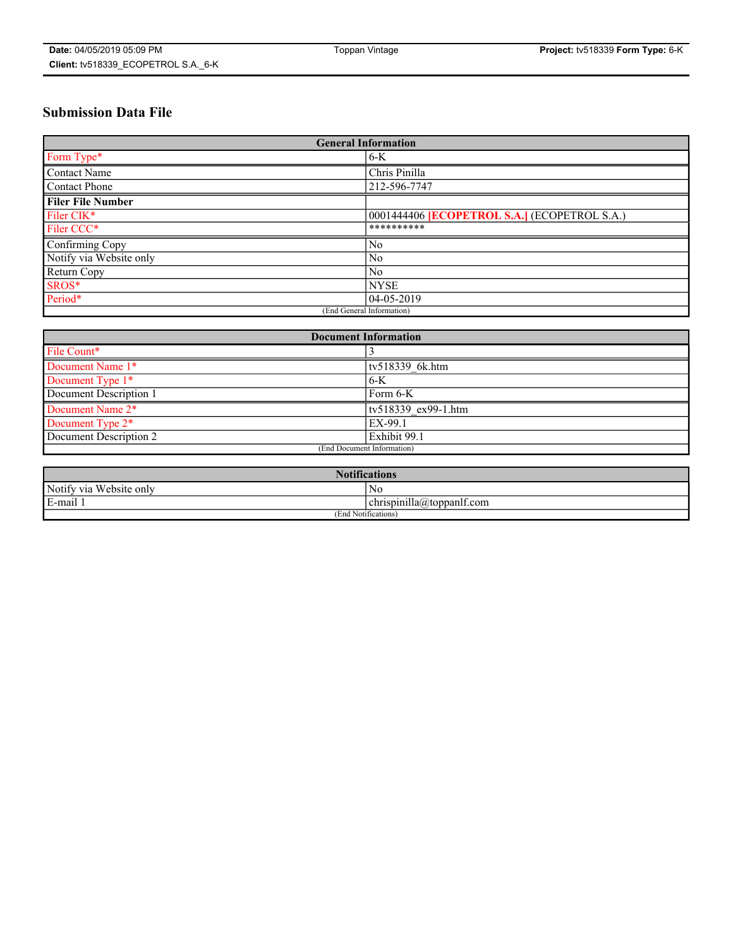# **Submission Data File**

| <b>General Information</b> |                                                     |
|----------------------------|-----------------------------------------------------|
| Form Type*                 | $6-K$                                               |
| Contact Name               | Chris Pinilla                                       |
| Contact Phone              | 212-596-7747                                        |
| <b>Filer File Number</b>   |                                                     |
| Filer CIK*                 | 0001444406 <b>[ECOPETROL S.A.]</b> (ECOPETROL S.A.) |
| Filer CCC*                 | **********                                          |
| Confirming Copy            | N <sub>0</sub>                                      |
| Notify via Website only    | N <sub>0</sub>                                      |
| Return Copy                | N <sub>0</sub>                                      |
| SROS*                      | <b>NYSE</b>                                         |
| Period*                    | 04-05-2019                                          |
| (End General Information)  |                                                     |

| <b>Document Information</b> |                     |
|-----------------------------|---------------------|
| File Count*                 |                     |
| Document Name 1*            | tv518339 6k.htm     |
| Document Type 1*            | $6-K$               |
| Document Description 1      | Form 6-K            |
| Document Name 2*            | tv518339 ex99-1.htm |
| Document Type 2*            | EX-99.1             |
| Document Description 2      | Exhibit 99.1        |
| (End Document Information)  |                     |

| <b>Notifications</b>       |                                 |  |
|----------------------------|---------------------------------|--|
| Notify via<br>Website only | N <sub>0</sub>                  |  |
| $E$ -mail 1                | <br>chrispinilla(a)toppanif.com |  |
| (End Notifications)        |                                 |  |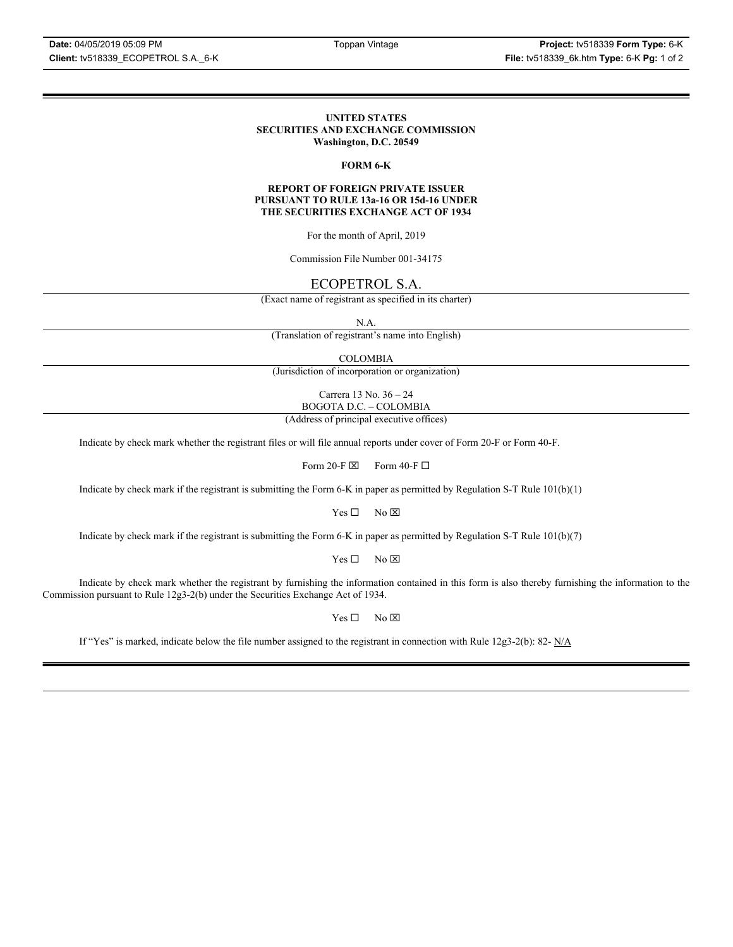#### **UNITED STATES SECURITIES AND EXCHANGE COMMISSION Washington, D.C. 20549**

### **FORM 6-K**

#### **REPORT OF FOREIGN PRIVATE ISSUER PURSUANT TO RULE 13a-16 OR 15d-16 UNDER THE SECURITIES EXCHANGE ACT OF 1934**

For the month of April, 2019

Commission File Number 001-34175

# ECOPETROL S.A.

(Exact name of registrant as specified in its charter)

N.A.

(Translation of registrant's name into English)

COLOMBIA

(Jurisdiction of incorporation or organization)

Carrera 13 No. 36 – 24 BOGOTA D.C. – COLOMBIA

(Address of principal executive offices)

Indicate by check mark whether the registrant files or will file annual reports under cover of Form 20-F or Form 40-F.

Form 20-F  $\boxtimes$  Form 40-F  $\Box$ 

Indicate by check mark if the registrant is submitting the Form 6-K in paper as permitted by Regulation S-T Rule 101(b)(1)

 $Yes \Box$  No  $\boxtimes$ 

Indicate by check mark if the registrant is submitting the Form 6-K in paper as permitted by Regulation S-T Rule 101(b)(7)

 $Yes \Box$  No  $\boxtimes$ 

Indicate by check mark whether the registrant by furnishing the information contained in this form is also thereby furnishing the information to the Commission pursuant to Rule 12g3-2(b) under the Securities Exchange Act of 1934.

 $Yes \Box$  No  $\boxtimes$ 

If "Yes" is marked, indicate below the file number assigned to the registrant in connection with Rule 12g3-2(b): 82-  $N/A$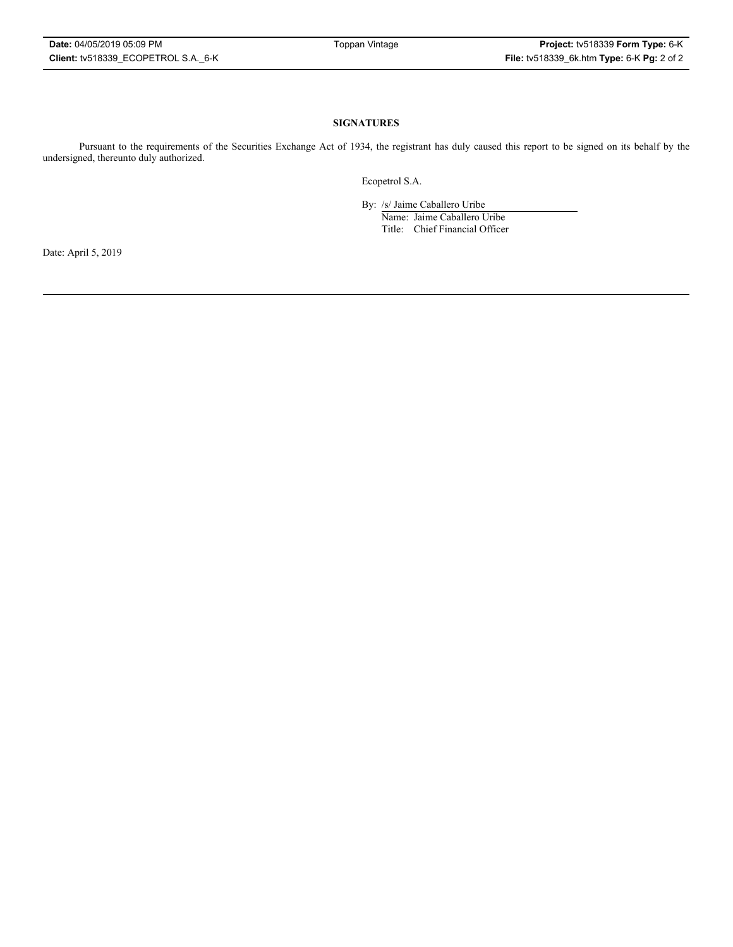### **SIGNATURES**

Pursuant to the requirements of the Securities Exchange Act of 1934, the registrant has duly caused this report to be signed on its behalf by the undersigned, thereunto duly authorized.

Ecopetrol S.A.

By: /s/ Jaime Caballero Uribe

Name: Jaime Caballero Uribe Title: Chief Financial Officer

Date: April 5, 2019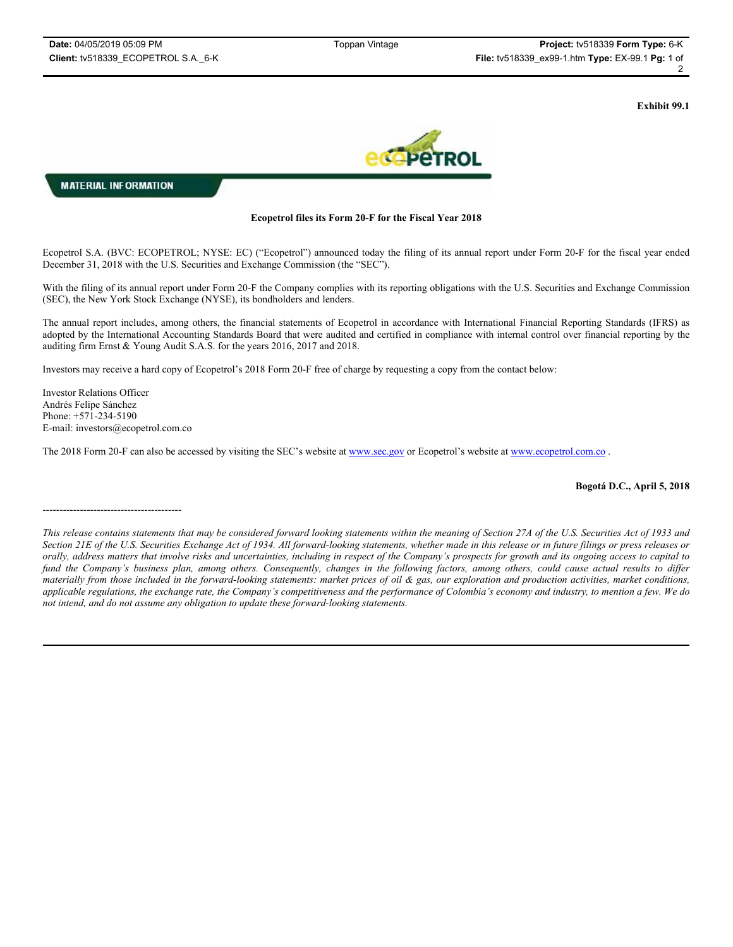**Exhibit 99.1**



**MATERIAL INFORMATION** 

## **Ecopetrol files its Form 20-F for the Fiscal Year 2018**

Ecopetrol S.A. (BVC: ECOPETROL; NYSE: EC) ("Ecopetrol") announced today the filing of its annual report under Form 20-F for the fiscal year ended December 31, 2018 with the U.S. Securities and Exchange Commission (the "SEC").

With the filing of its annual report under Form 20-F the Company complies with its reporting obligations with the U.S. Securities and Exchange Commission (SEC), the New York Stock Exchange (NYSE), its bondholders and lenders.

The annual report includes, among others, the financial statements of Ecopetrol in accordance with International Financial Reporting Standards (IFRS) as adopted by the International Accounting Standards Board that were audited and certified in compliance with internal control over financial reporting by the auditing firm Ernst & Young Audit S.A.S. for the years 2016, 2017 and 2018.

Investors may receive a hard copy of Ecopetrol's 2018 Form 20-F free of charge by requesting a copy from the contact below:

Investor Relations Officer Andrés Felipe Sánchez Phone: +571-234-5190 E-mail: investors@ecopetrol.com.co

-----------------------------------------

The 2018 Form 20-F can also be accessed by visiting the SEC's website at www.sec.gov or Ecopetrol's website at www.ecopetrol.com.co .

**Bogotá D.C., April 5, 2018**

*This release contains statements that may be considered forward looking statements within the meaning of Section 27A of the U.S. Securities Act of 1933 and Section 21E of the U.S. Securities Exchange Act of 1934. All forward-looking statements, whether made in this release or in future filings or press releases or orally, address matters that involve risks and uncertainties, including in respect of the Company's prospects for growth and its ongoing access to capital to fund the Company's business plan, among others. Consequently, changes in the following factors, among others, could cause actual results to differ materially from those included in the forward-looking statements: market prices of oil & gas, our exploration and production activities, market conditions, applicable regulations, the exchange rate, the Company's competitiveness and the performance of Colombia's economy and industry, to mention a few. We do not intend, and do not assume any obligation to update these forward-looking statements.*